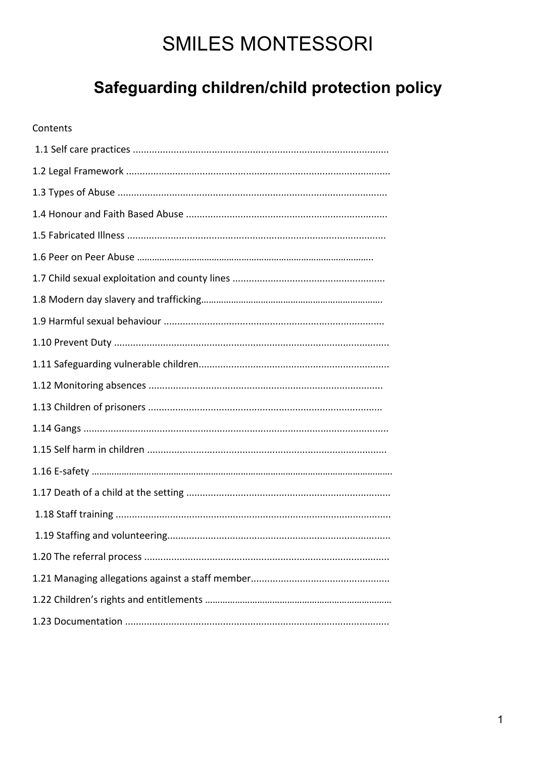### Safeguarding children/child protection policy

### Contents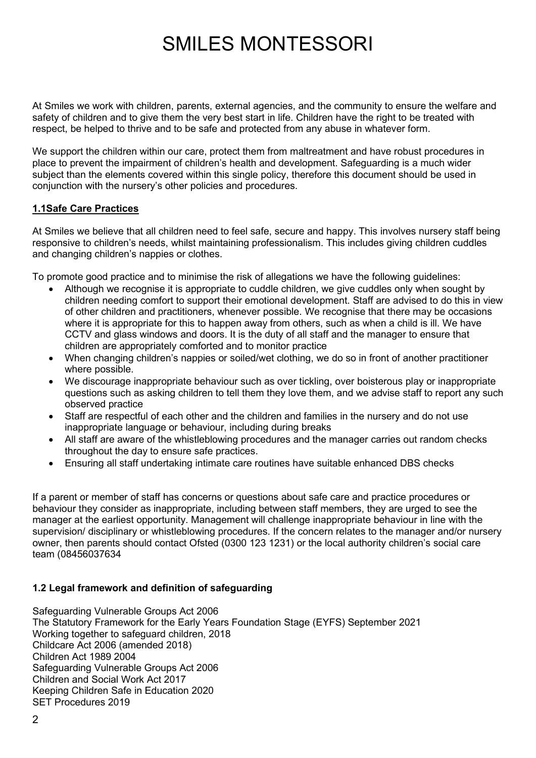At Smiles we work with children, parents, external agencies, and the community to ensure the welfare and safety of children and to give them the very best start in life. Children have the right to be treated with respect, be helped to thrive and to be safe and protected from any abuse in whatever form.

We support the children within our care, protect them from maltreatment and have robust procedures in place to prevent the impairment of children's health and development. Safeguarding is a much wider subject than the elements covered within this single policy, therefore this document should be used in conjunction with the nursery's other policies and procedures.

### **1.1Safe Care Practices**

At Smiles we believe that all children need to feel safe, secure and happy. This involves nursery staff being responsive to children's needs, whilst maintaining professionalism. This includes giving children cuddles and changing children's nappies or clothes.

To promote good practice and to minimise the risk of allegations we have the following guidelines:

- Although we recognise it is appropriate to cuddle children, we give cuddles only when sought by children needing comfort to support their emotional development. Staff are advised to do this in view of other children and practitioners, whenever possible. We recognise that there may be occasions where it is appropriate for this to happen away from others, such as when a child is ill. We have CCTV and glass windows and doors. It is the duty of all staff and the manager to ensure that children are appropriately comforted and to monitor practice
- When changing children's nappies or soiled/wet clothing, we do so in front of another practitioner where possible.
- We discourage inappropriate behaviour such as over tickling, over boisterous play or inappropriate questions such as asking children to tell them they love them, and we advise staff to report any such observed practice
- Staff are respectful of each other and the children and families in the nursery and do not use inappropriate language or behaviour, including during breaks
- All staff are aware of the whistleblowing procedures and the manager carries out random checks throughout the day to ensure safe practices.
- Ensuring all staff undertaking intimate care routines have suitable enhanced DBS checks

If a parent or member of staff has concerns or questions about safe care and practice procedures or behaviour they consider as inappropriate, including between staff members, they are urged to see the manager at the earliest opportunity. Management will challenge inappropriate behaviour in line with the supervision/ disciplinary or whistleblowing procedures. If the concern relates to the manager and/or nursery owner, then parents should contact Ofsted (0300 123 1231) or the local authority children's social care team (08456037634

#### **1.2 Legal framework and definition of safeguarding**

Safeguarding Vulnerable Groups Act 2006 The Statutory Framework for the Early Years Foundation Stage (EYFS) September 2021 Working together to safeguard children, 2018 Childcare Act 2006 (amended 2018) Children Act 1989 2004 Safeguarding Vulnerable Groups Act 2006 Children and Social Work Act 2017 Keeping Children Safe in Education 2020 SET Procedures 2019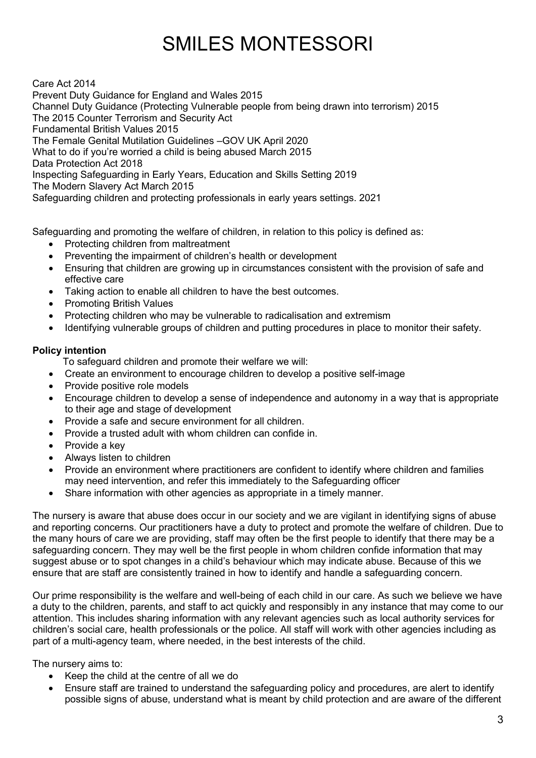Care Act 2014 Prevent Duty Guidance for England and Wales 2015 Channel Duty Guidance (Protecting Vulnerable people from being drawn into terrorism) 2015 The 2015 Counter Terrorism and Security Act Fundamental British Values 2015 The Female Genital Mutilation Guidelines –GOV UK April 2020 What to do if you're worried a child is being abused March 2015 Data Protection Act 2018 Inspecting Safeguarding in Early Years, Education and Skills Setting 2019 The Modern Slavery Act March 2015 Safeguarding children and protecting professionals in early years settings. 2021

Safeguarding and promoting the welfare of children, in relation to this policy is defined as:

- Protecting children from maltreatment
- Preventing the impairment of children's health or development
- Ensuring that children are growing up in circumstances consistent with the provision of safe and effective care
- Taking action to enable all children to have the best outcomes.
- Promoting British Values
- Protecting children who may be vulnerable to radicalisation and extremism
- Identifying vulnerable groups of children and putting procedures in place to monitor their safety.

### **Policy intention**

To safeguard children and promote their welfare we will:

- Create an environment to encourage children to develop a positive self-image
- Provide positive role models
- Encourage children to develop a sense of independence and autonomy in a way that is appropriate to their age and stage of development
- Provide a safe and secure environment for all children.
- Provide a trusted adult with whom children can confide in.
- Provide a key
- Always listen to children
- Provide an environment where practitioners are confident to identify where children and families may need intervention, and refer this immediately to the Safeguarding officer
- Share information with other agencies as appropriate in a timely manner.

The nursery is aware that abuse does occur in our society and we are vigilant in identifying signs of abuse and reporting concerns. Our practitioners have a duty to protect and promote the welfare of children. Due to the many hours of care we are providing, staff may often be the first people to identify that there may be a safeguarding concern. They may well be the first people in whom children confide information that may suggest abuse or to spot changes in a child's behaviour which may indicate abuse. Because of this we ensure that are staff are consistently trained in how to identify and handle a safeguarding concern.

Our prime responsibility is the welfare and well-being of each child in our care. As such we believe we have a duty to the children, parents, and staff to act quickly and responsibly in any instance that may come to our attention. This includes sharing information with any relevant agencies such as local authority services for children's social care, health professionals or the police. All staff will work with other agencies including as part of a multi-agency team, where needed, in the best interests of the child.

The nursery aims to:

- Keep the child at the centre of all we do
- Ensure staff are trained to understand the safeguarding policy and procedures, are alert to identify possible signs of abuse, understand what is meant by child protection and are aware of the different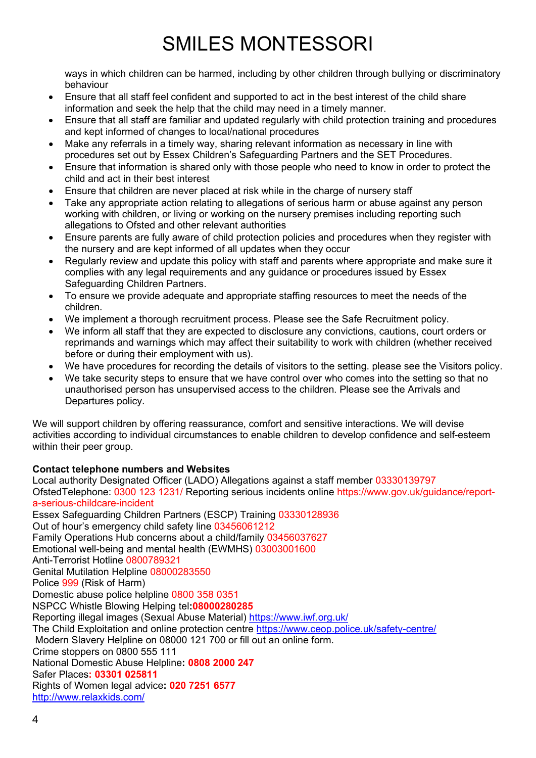ways in which children can be harmed, including by other children through bullying or discriminatory behaviour

- Ensure that all staff feel confident and supported to act in the best interest of the child share information and seek the help that the child may need in a timely manner.
- Ensure that all staff are familiar and updated regularly with child protection training and procedures and kept informed of changes to local/national procedures
- Make any referrals in a timely way, sharing relevant information as necessary in line with procedures set out by Essex Children's Safeguarding Partners and the SET Procedures.
- Ensure that information is shared only with those people who need to know in order to protect the child and act in their best interest
- Ensure that children are never placed at risk while in the charge of nursery staff
- Take any appropriate action relating to allegations of serious harm or abuse against any person working with children, or living or working on the nursery premises including reporting such allegations to Ofsted and other relevant authorities
- Ensure parents are fully aware of child protection policies and procedures when they register with the nursery and are kept informed of all updates when they occur
- Regularly review and update this policy with staff and parents where appropriate and make sure it complies with any legal requirements and any guidance or procedures issued by Essex Safeguarding Children Partners.
- To ensure we provide adequate and appropriate staffing resources to meet the needs of the children.
- We implement a thorough recruitment process. Please see the Safe Recruitment policy.
- We inform all staff that they are expected to disclosure any convictions, cautions, court orders or reprimands and warnings which may affect their suitability to work with children (whether received before or during their employment with us).
- We have procedures for recording the details of visitors to the setting. please see the Visitors policy.
- We take security steps to ensure that we have control over who comes into the setting so that no unauthorised person has unsupervised access to the children. Please see the Arrivals and Departures policy.

We will support children by offering reassurance, comfort and sensitive interactions. We will devise activities according to individual circumstances to enable children to develop confidence and self-esteem within their peer group.

### **Contact telephone numbers and Websites**

Local authority Designated Officer (LADO) Allegations against a staff member 03330139797 OfstedTelephone: 0300 123 1231/ Reporting serious incidents online https://www.gov.uk/guidance/reporta-serious-childcare-incident Essex Safeguarding Children Partners (ESCP) Training 03330128936 Out of hour's emergency child safety line 03456061212 Family Operations Hub concerns about a child/family 03456037627 Emotional well-being and mental health (EWMHS) 03003001600 Anti-Terrorist Hotline 0800789321 Genital Mutilation Helpline 08000283550 Police 999 (Risk of Harm) Domestic abuse police helpline 0800 358 0351 NSPCC Whistle Blowing Helping tel**:08000280285** Reporting illegal images (Sexual Abuse Material)<https://www.iwf.org.uk/> The Child Exploitation and online protection centre <https://www.ceop.police.uk/safety-centre/> Modern Slavery Helpline on 08000 121 700 or fill out an online form. Crime stoppers on 0800 555 111 National Domestic Abuse Helpline**: 0808 2000 247** Safer Places**: 03301 025811** Rights of Women legal advice**: 020 7251 6577** <http://www.relaxkids.com/>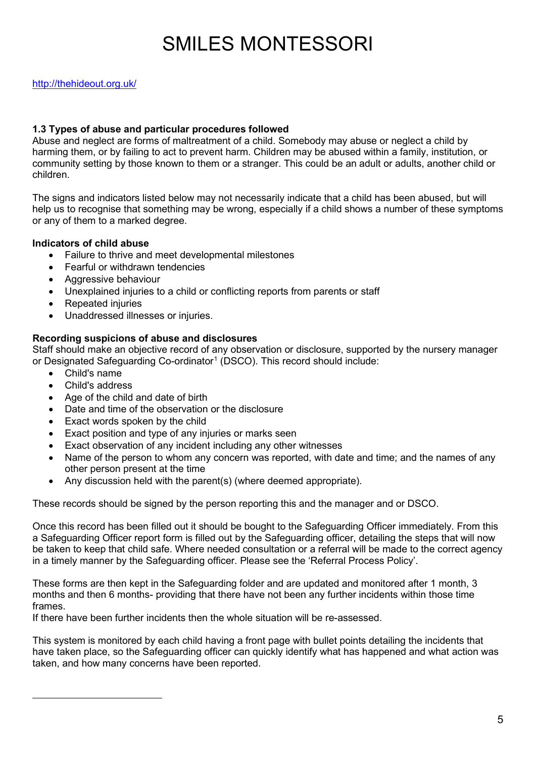#### **1.3 Types of abuse and particular procedures followed**

Abuse and neglect are forms of maltreatment of a child. Somebody may abuse or neglect a child by harming them, or by failing to act to prevent harm. Children may be abused within a family, institution, or community setting by those known to them or a stranger. This could be an adult or adults, another child or children.

The signs and indicators listed below may not necessarily indicate that a child has been abused, but will help us to recognise that something may be wrong, especially if a child shows a number of these symptoms or any of them to a marked degree.

#### **Indicators of child abuse**

- Failure to thrive and meet developmental milestones
- Fearful or withdrawn tendencies
- Aggressive behaviour
- Unexplained injuries to a child or conflicting reports from parents or staff
- Repeated injuries
- Unaddressed illnesses or injuries.

### **Recording suspicions of abuse and disclosures**

Staff should make an objective record of any observation or disclosure, supported by the nursery manager or Designated Safeguarding Co-ordinator<sup>[1](#page-4-0)</sup> (DSCO). This record should include:

- Child's name
- Child's address
- Age of the child and date of birth
- Date and time of the observation or the disclosure
- Exact words spoken by the child
- Exact position and type of any injuries or marks seen
- Exact observation of any incident including any other witnesses
- Name of the person to whom any concern was reported, with date and time; and the names of any other person present at the time
- Any discussion held with the parent(s) (where deemed appropriate).

These records should be signed by the person reporting this and the manager and or DSCO.

Once this record has been filled out it should be bought to the Safeguarding Officer immediately. From this a Safeguarding Officer report form is filled out by the Safeguarding officer, detailing the steps that will now be taken to keep that child safe. Where needed consultation or a referral will be made to the correct agency in a timely manner by the Safeguarding officer. Please see the 'Referral Process Policy'.

These forms are then kept in the Safeguarding folder and are updated and monitored after 1 month, 3 months and then 6 months- providing that there have not been any further incidents within those time frames.

If there have been further incidents then the whole situation will be re-assessed.

<span id="page-4-0"></span>This system is monitored by each child having a front page with bullet points detailing the incidents that have taken place, so the Safeguarding officer can quickly identify what has happened and what action was taken, and how many concerns have been reported.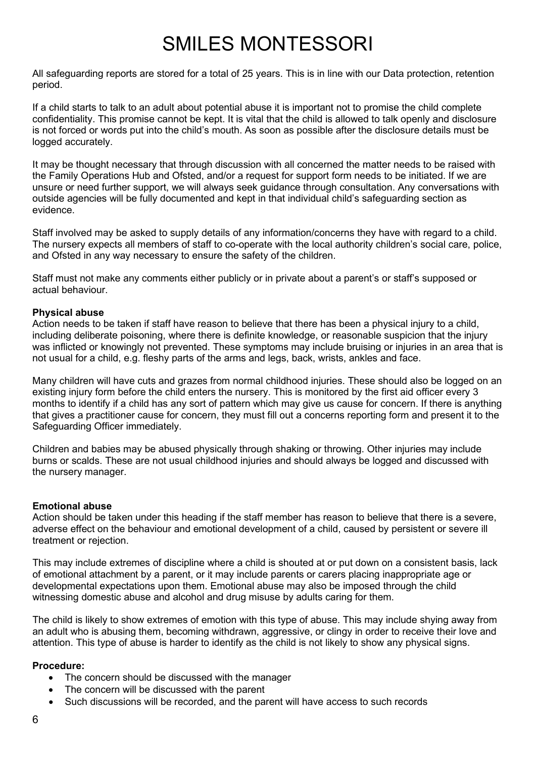All safeguarding reports are stored for a total of 25 years. This is in line with our Data protection, retention period.

If a child starts to talk to an adult about potential abuse it is important not to promise the child complete confidentiality. This promise cannot be kept. It is vital that the child is allowed to talk openly and disclosure is not forced or words put into the child's mouth. As soon as possible after the disclosure details must be logged accurately.

It may be thought necessary that through discussion with all concerned the matter needs to be raised with the Family Operations Hub and Ofsted, and/or a request for support form needs to be initiated. If we are unsure or need further support, we will always seek guidance through consultation. Any conversations with outside agencies will be fully documented and kept in that individual child's safeguarding section as evidence.

Staff involved may be asked to supply details of any information/concerns they have with regard to a child. The nursery expects all members of staff to co-operate with the local authority children's social care, police, and Ofsted in any way necessary to ensure the safety of the children.

Staff must not make any comments either publicly or in private about a parent's or staff's supposed or actual behaviour.

### **Physical abuse**

Action needs to be taken if staff have reason to believe that there has been a physical injury to a child, including deliberate poisoning, where there is definite knowledge, or reasonable suspicion that the injury was inflicted or knowingly not prevented. These symptoms may include bruising or injuries in an area that is not usual for a child, e.g. fleshy parts of the arms and legs, back, wrists, ankles and face.

Many children will have cuts and grazes from normal childhood injuries. These should also be logged on an existing injury form before the child enters the nursery. This is monitored by the first aid officer every 3 months to identify if a child has any sort of pattern which may give us cause for concern. If there is anything that gives a practitioner cause for concern, they must fill out a concerns reporting form and present it to the Safeguarding Officer immediately.

Children and babies may be abused physically through shaking or throwing. Other injuries may include burns or scalds. These are not usual childhood injuries and should always be logged and discussed with the nursery manager.

#### **Emotional abuse**

Action should be taken under this heading if the staff member has reason to believe that there is a severe, adverse effect on the behaviour and emotional development of a child, caused by persistent or severe ill treatment or rejection.

This may include extremes of discipline where a child is shouted at or put down on a consistent basis, lack of emotional attachment by a parent, or it may include parents or carers placing inappropriate age or developmental expectations upon them. Emotional abuse may also be imposed through the child witnessing domestic abuse and alcohol and drug misuse by adults caring for them.

The child is likely to show extremes of emotion with this type of abuse. This may include shying away from an adult who is abusing them, becoming withdrawn, aggressive, or clingy in order to receive their love and attention. This type of abuse is harder to identify as the child is not likely to show any physical signs.

#### **Procedure:**

- The concern should be discussed with the manager
- The concern will be discussed with the parent
- Such discussions will be recorded, and the parent will have access to such records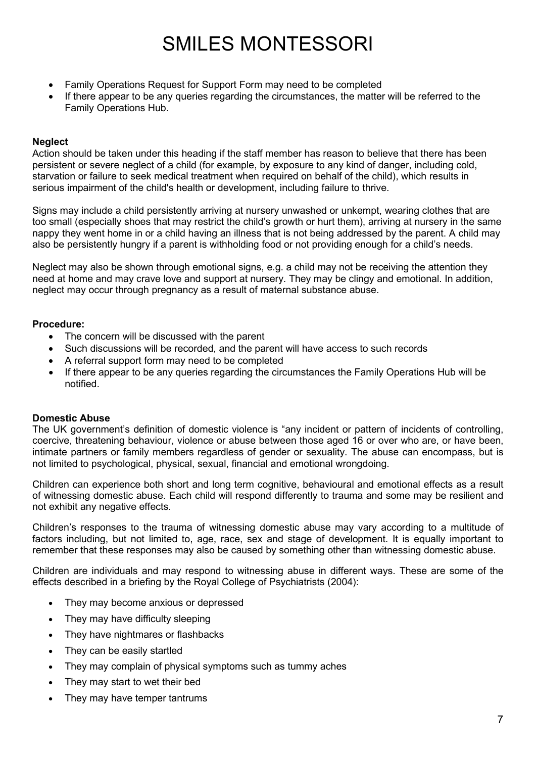- Family Operations Request for Support Form may need to be completed
- If there appear to be any queries regarding the circumstances, the matter will be referred to the Family Operations Hub.

### **Neglect**

Action should be taken under this heading if the staff member has reason to believe that there has been persistent or severe neglect of a child (for example, by exposure to any kind of danger, including cold, starvation or failure to seek medical treatment when required on behalf of the child), which results in serious impairment of the child's health or development, including failure to thrive.

Signs may include a child persistently arriving at nursery unwashed or unkempt, wearing clothes that are too small (especially shoes that may restrict the child's growth or hurt them), arriving at nursery in the same nappy they went home in or a child having an illness that is not being addressed by the parent. A child may also be persistently hungry if a parent is withholding food or not providing enough for a child's needs.

Neglect may also be shown through emotional signs, e.g. a child may not be receiving the attention they need at home and may crave love and support at nursery. They may be clingy and emotional. In addition, neglect may occur through pregnancy as a result of maternal substance abuse.

### **Procedure:**

- The concern will be discussed with the parent
- Such discussions will be recorded, and the parent will have access to such records
- A referral support form may need to be completed
- If there appear to be any queries regarding the circumstances the Family Operations Hub will be notified.

### **Domestic Abuse**

The UK government's definition of domestic violence is "any incident or pattern of incidents of controlling, coercive, threatening behaviour, violence or abuse between those aged 16 or over who are, or have been, intimate partners or family members regardless of gender or sexuality. The abuse can encompass, but is not limited to psychological, physical, sexual, financial and emotional wrongdoing.

Children can experience both short and long term cognitive, behavioural and emotional effects as a result of witnessing domestic abuse. Each child will respond differently to trauma and some may be resilient and not exhibit any negative effects.

Children's responses to the trauma of witnessing domestic abuse may vary according to a multitude of factors including, but not limited to, age, race, sex and stage of development. It is equally important to remember that these responses may also be caused by something other than witnessing domestic abuse.

Children are individuals and may respond to witnessing abuse in different ways. These are some of the effects described in a briefing by the Royal College of Psychiatrists (2004):

- They may become anxious or depressed
- They may have difficulty sleeping
- They have nightmares or flashbacks
- They can be easily startled
- They may complain of physical symptoms such as tummy aches
- They may start to wet their bed
- They may have temper tantrums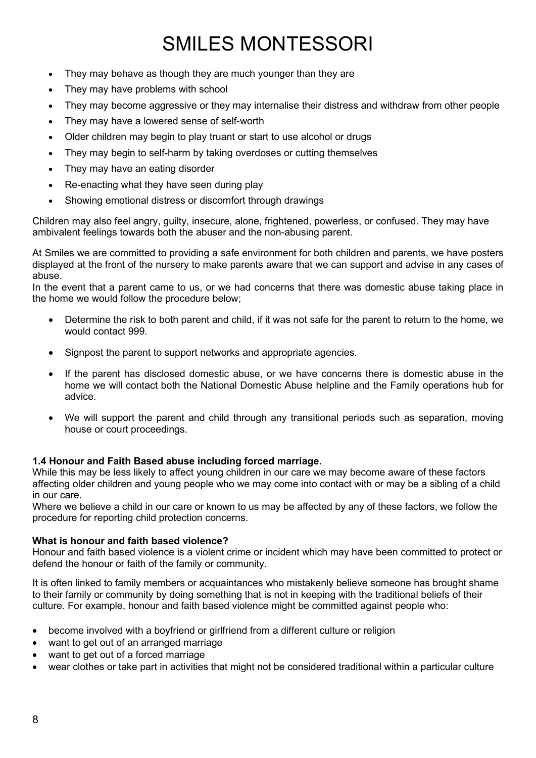- They may behave as though they are much younger than they are
- They may have problems with school
- They may become aggressive or they may internalise their distress and withdraw from other people
- They may have a lowered sense of self-worth
- Older children may begin to play truant or start to use alcohol or drugs
- They may begin to self-harm by taking overdoses or cutting themselves
- They may have an eating disorder
- Re-enacting what they have seen during play
- Showing emotional distress or discomfort through drawings

Children may also feel angry, guilty, insecure, alone, frightened, powerless, or confused. They may have ambivalent feelings towards both the abuser and the non-abusing parent.

At Smiles we are committed to providing a safe environment for both children and parents, we have posters displayed at the front of the nursery to make parents aware that we can support and advise in any cases of abuse.

In the event that a parent came to us, or we had concerns that there was domestic abuse taking place in the home we would follow the procedure below;

- Determine the risk to both parent and child, if it was not safe for the parent to return to the home, we would contact 999.
- Signpost the parent to support networks and appropriate agencies.
- If the parent has disclosed domestic abuse, or we have concerns there is domestic abuse in the home we will contact both the National Domestic Abuse helpline and the Family operations hub for advice.
- We will support the parent and child through any transitional periods such as separation, moving house or court proceedings.

#### **1.4 Honour and Faith Based abuse including forced marriage.**

While this may be less likely to affect young children in our care we may become aware of these factors affecting older children and young people who we may come into contact with or may be a sibling of a child in our care.

Where we believe a child in our care or known to us may be affected by any of these factors, we follow the procedure for reporting child protection concerns.

#### **What is honour and faith based violence?**

Honour and faith based violence is a violent crime or incident which may have been committed to protect or defend the honour or faith of the family or community.

It is often linked to family members or acquaintances who mistakenly believe someone has brought shame to their family or community by doing something that is not in keeping with the traditional beliefs of their culture. For example, honour and faith based violence might be committed against people who:

- become involved with a boyfriend or girlfriend from a different culture or religion
- want to get out of an arranged marriage
- want to get out of a forced marriage
- wear clothes or take part in activities that might not be considered traditional within a particular culture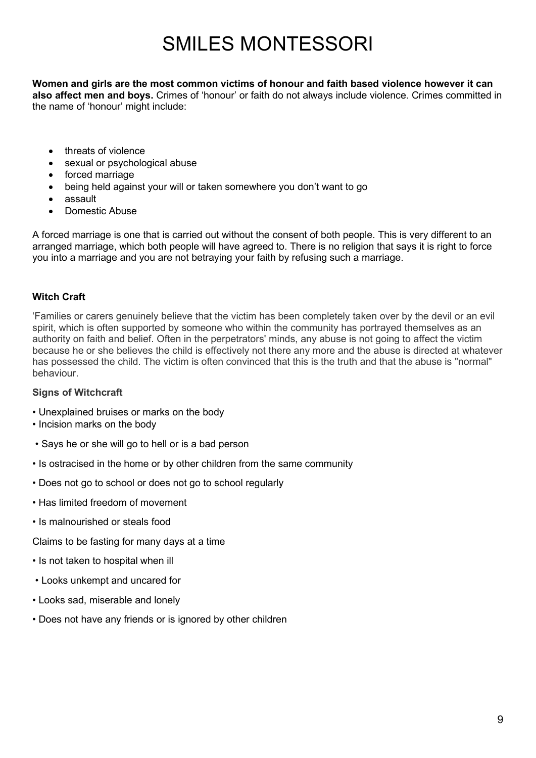**Women and girls are the most common victims of honour and faith based violence however it can also affect men and boys.** Crimes of 'honour' or faith do not always include violence. Crimes committed in the name of 'honour' might include:

- threats of violence
- sexual or psychological abuse
- forced marriage
- being held against your will or taken somewhere you don't want to go
- assault
- Domestic Abuse

A forced marriage is one that is carried out without the consent of both people. This is very different to an arranged marriage, which both people will have agreed to. There is no religion that says it is right to force you into a marriage and you are not betraying your faith by refusing such a marriage.

### **Witch Craft**

'Families or carers genuinely believe that the victim has been completely taken over by the devil or an evil spirit, which is often supported by someone who within the community has portrayed themselves as an authority on faith and belief. Often in the perpetrators' minds, any abuse is not going to affect the victim because he or she believes the child is effectively not there any more and the abuse is directed at whatever has possessed the child. The victim is often convinced that this is the truth and that the abuse is "normal" behaviour.

#### **Signs of Witchcraft**

- Unexplained bruises or marks on the body
- Incision marks on the body
- Says he or she will go to hell or is a bad person
- Is ostracised in the home or by other children from the same community
- Does not go to school or does not go to school regularly
- Has limited freedom of movement
- Is malnourished or steals food
- Claims to be fasting for many days at a time
- Is not taken to hospital when ill
- Looks unkempt and uncared for
- Looks sad, miserable and lonely
- Does not have any friends or is ignored by other children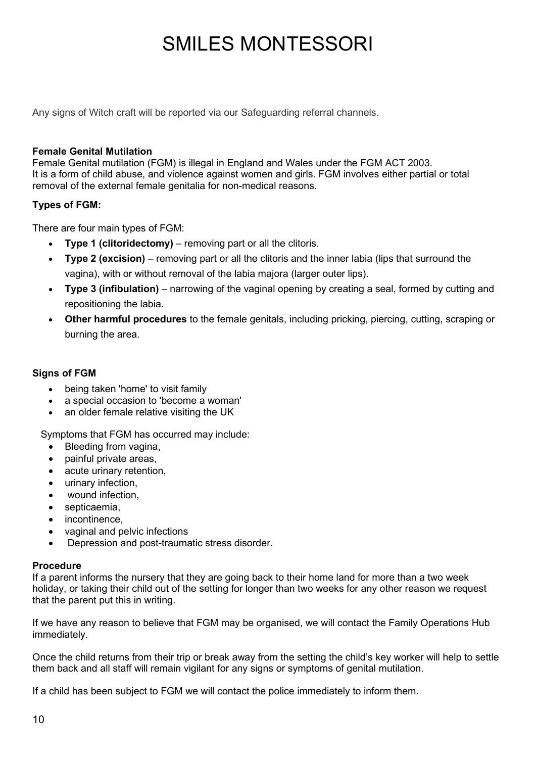Any signs of Witch craft will be reported via our Safeguarding referral channels.

### **Female Genital Mutilation**

Female Genital mutilation (FGM) is illegal in England and Wales under the FGM ACT 2003. It is a form of child abuse, and violence against women and girls. FGM involves either partial or total removal of the external female genitalia for non-medical reasons.

### **Types of FGM:**

There are four main types of FGM:

- **Type 1 (clitoridectomy)** removing part or all the clitoris.
- **Type 2 (excision)** removing part or all the clitoris and the inner labia (lips that surround the vagina), with or without removal of the labia majora (larger outer lips).
- **Type 3 (infibulation)** narrowing of the vaginal opening by creating a seal, formed by cutting and repositioning the labia.
- **Other harmful procedures** to the female genitals, including pricking, piercing, cutting, scraping or burning the area.

### **Signs of FGM**

- being taken 'home' to visit family
- a special occasion to 'become a woman'
- an older female relative visiting the UK

Symptoms that FGM has occurred may include:

- Bleeding from vagina,
- painful private areas,
- acute urinary retention,
- urinary infection,
- wound infection,
- septicaemia,
- incontinence.
- vaginal and pelvic infections
- Depression and post-traumatic stress disorder.

#### **Procedure**

If a parent informs the nursery that they are going back to their home land for more than a two week holiday, or taking their child out of the setting for longer than two weeks for any other reason we request that the parent put this in writing.

If we have any reason to believe that FGM may be organised, we will contact the Family Operations Hub immediately.

Once the child returns from their trip or break away from the setting the child's key worker will help to settle them back and all staff will remain vigilant for any signs or symptoms of genital mutilation.

If a child has been subject to FGM we will contact the police immediately to inform them.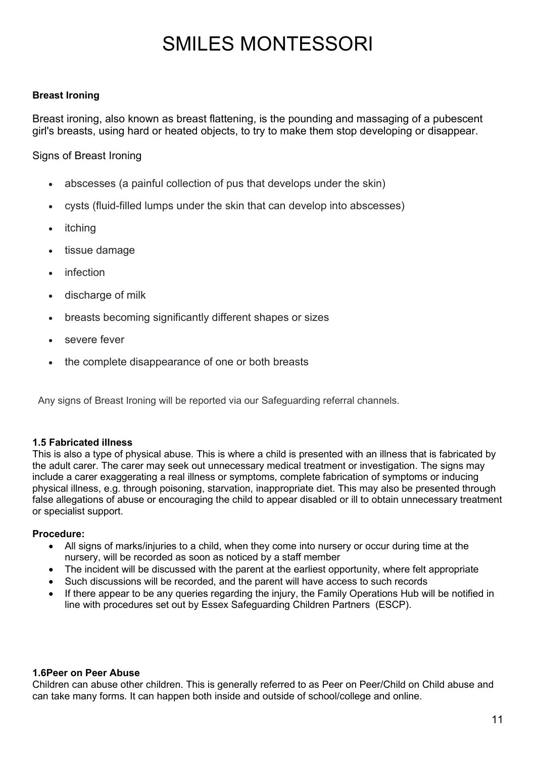### **Breast Ironing**

Breast ironing, also known as breast flattening, is the pounding and massaging of a pubescent girl's breasts, using hard or heated objects, to try to make them stop developing or disappear.

Signs of Breast Ironing

- abscesses (a painful collection of pus that develops under the skin)
- cysts (fluid-filled lumps under the skin that can develop into abscesses)
- itching
- tissue damage
- infection
- discharge of milk
- breasts becoming significantly different shapes or sizes
- severe fever
- the complete disappearance of one or both breasts

Any signs of Breast Ironing will be reported via our Safeguarding referral channels.

### **1.5 Fabricated illness**

This is also a type of physical abuse. This is where a child is presented with an illness that is fabricated by the adult carer. The carer may seek out unnecessary medical treatment or investigation. The signs may include a carer exaggerating a real illness or symptoms, complete fabrication of symptoms or inducing physical illness, e.g. through poisoning, starvation, inappropriate diet. This may also be presented through false allegations of abuse or encouraging the child to appear disabled or ill to obtain unnecessary treatment or specialist support.

#### **Procedure:**

- All signs of marks/injuries to a child, when they come into nursery or occur during time at the nursery, will be recorded as soon as noticed by a staff member
- The incident will be discussed with the parent at the earliest opportunity, where felt appropriate
- Such discussions will be recorded, and the parent will have access to such records
- If there appear to be any queries regarding the injury, the Family Operations Hub will be notified in line with procedures set out by Essex Safeguarding Children Partners (ESCP).

#### **1.6Peer on Peer Abuse**

Children can abuse other children. This is generally referred to as Peer on Peer/Child on Child abuse and can take many forms. It can happen both inside and outside of school/college and online.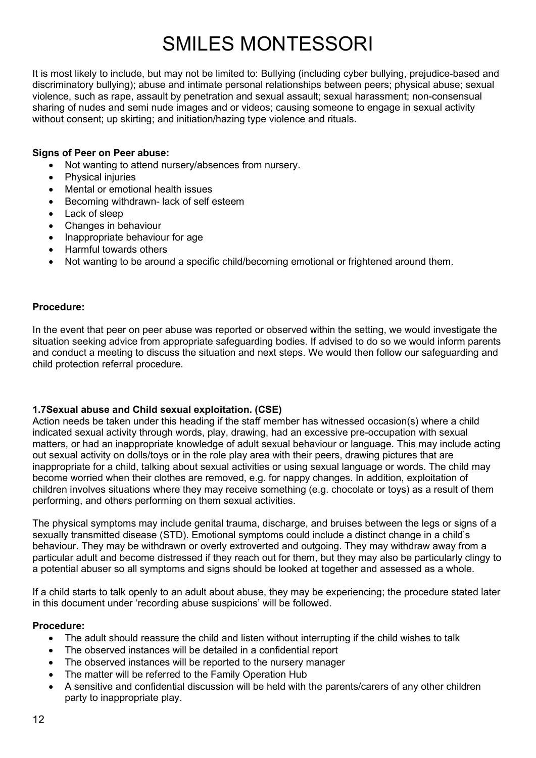It is most likely to include, but may not be limited to: Bullying (including cyber bullying, prejudice-based and discriminatory bullying); abuse and intimate personal relationships between peers; physical abuse; sexual violence, such as rape, assault by penetration and sexual assault; sexual harassment; non-consensual sharing of nudes and semi nude images and or videos; causing someone to engage in sexual activity without consent; up skirting; and initiation/hazing type violence and rituals.

### **Signs of Peer on Peer abuse:**

- Not wanting to attend nursery/absences from nursery.
- Physical injuries
- Mental or emotional health issues
- Becoming withdrawn- lack of self esteem
- Lack of sleep
- Changes in behaviour
- Inappropriate behaviour for age
- Harmful towards others
- Not wanting to be around a specific child/becoming emotional or frightened around them.

#### **Procedure:**

In the event that peer on peer abuse was reported or observed within the setting, we would investigate the situation seeking advice from appropriate safeguarding bodies. If advised to do so we would inform parents and conduct a meeting to discuss the situation and next steps. We would then follow our safeguarding and child protection referral procedure.

#### **1.7Sexual abuse and Child sexual exploitation. (CSE)**

Action needs be taken under this heading if the staff member has witnessed occasion(s) where a child indicated sexual activity through words, play, drawing, had an excessive pre-occupation with sexual matters, or had an inappropriate knowledge of adult sexual behaviour or language. This may include acting out sexual activity on dolls/toys or in the role play area with their peers, drawing pictures that are inappropriate for a child, talking about sexual activities or using sexual language or words. The child may become worried when their clothes are removed, e.g. for nappy changes. In addition, exploitation of children involves situations where they may receive something (e.g. chocolate or toys) as a result of them performing, and others performing on them sexual activities.

The physical symptoms may include genital trauma, discharge, and bruises between the legs or signs of a sexually transmitted disease (STD). Emotional symptoms could include a distinct change in a child's behaviour. They may be withdrawn or overly extroverted and outgoing. They may withdraw away from a particular adult and become distressed if they reach out for them, but they may also be particularly clingy to a potential abuser so all symptoms and signs should be looked at together and assessed as a whole.

If a child starts to talk openly to an adult about abuse, they may be experiencing; the procedure stated later in this document under 'recording abuse suspicions' will be followed.

#### **Procedure:**

- The adult should reassure the child and listen without interrupting if the child wishes to talk
- The observed instances will be detailed in a confidential report
- The observed instances will be reported to the nursery manager
- The matter will be referred to the Family Operation Hub
- A sensitive and confidential discussion will be held with the parents/carers of any other children party to inappropriate play.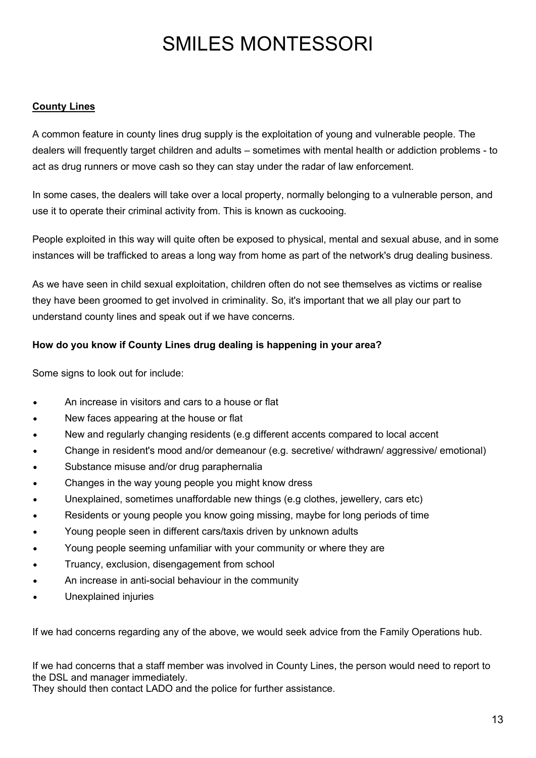### **County Lines**

A common feature in county lines drug supply is the exploitation of young and vulnerable people. The dealers will frequently target children and adults – sometimes with mental health or addiction problems - to act as drug runners or move cash so they can stay under the radar of law enforcement.

In some cases, the dealers will take over a local property, normally belonging to a vulnerable person, and use it to operate their criminal activity from. This is known as cuckooing.

People exploited in this way will quite often be exposed to physical, mental and sexual abuse, and in some instances will be trafficked to areas a long way from home as part of the network's drug dealing business.

As we have seen in child sexual exploitation, children often do not see themselves as victims or realise they have been groomed to get involved in criminality. So, it's important that we all play our part to understand county lines and speak out if we have concerns.

### **How do you know if County Lines drug dealing is happening in your area?**

Some signs to look out for include:

- An increase in visitors and cars to a house or flat
- New faces appearing at the house or flat
- New and regularly changing residents (e.g different accents compared to local accent
- Change in resident's mood and/or demeanour (e.g. secretive/ withdrawn/ aggressive/ emotional)
- Substance misuse and/or drug paraphernalia
- Changes in the way young people you might know dress
- Unexplained, sometimes unaffordable new things (e.g clothes, jewellery, cars etc)
- Residents or young people you know going missing, maybe for long periods of time
- Young people seen in different cars/taxis driven by unknown adults
- Young people seeming unfamiliar with your community or where they are
- Truancy, exclusion, disengagement from school
- An increase in anti-social behaviour in the community
- Unexplained injuries

If we had concerns regarding any of the above, we would seek advice from the Family Operations hub.

If we had concerns that a staff member was involved in County Lines, the person would need to report to the DSL and manager immediately.

They should then contact LADO and the police for further assistance.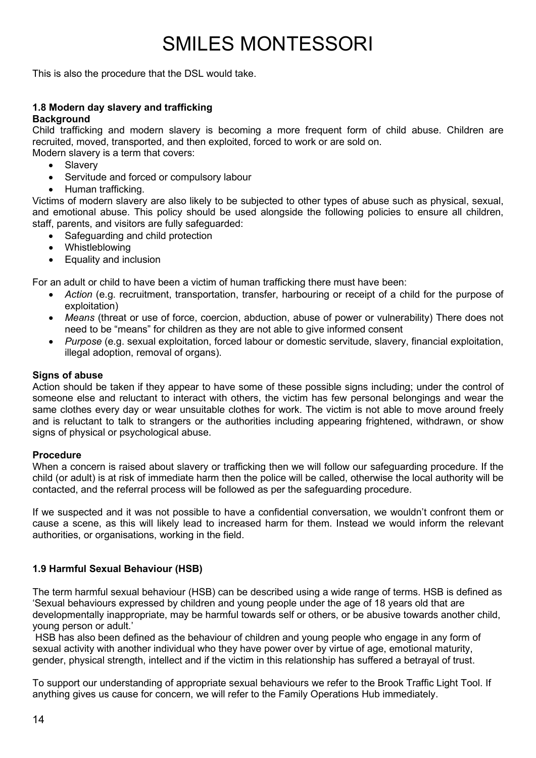This is also the procedure that the DSL would take.

### **1.8 Modern day slavery and trafficking**

#### **Background**

Child trafficking and modern slavery is becoming a more frequent form of child abuse. Children are recruited, moved, transported, and then exploited, forced to work or are sold on.

Modern slavery is a term that covers:

- Slavery
- Servitude and forced or compulsory labour
- Human trafficking.

Victims of modern slavery are also likely to be subjected to other types of abuse such as physical, sexual, and emotional abuse. This policy should be used alongside the following policies to ensure all children, staff, parents, and visitors are fully safeguarded:

- Safeguarding and child protection
- Whistleblowing
- Equality and inclusion

For an adult or child to have been a victim of human trafficking there must have been:

- *Action* (e.g. recruitment, transportation, transfer, harbouring or receipt of a child for the purpose of exploitation)
- *Means* (threat or use of force, coercion, abduction, abuse of power or vulnerability) There does not need to be "means" for children as they are not able to give informed consent
- *Purpose* (e.g. sexual exploitation, forced labour or domestic servitude, slavery, financial exploitation, illegal adoption, removal of organs).

#### **Signs of abuse**

Action should be taken if they appear to have some of these possible signs including; under the control of someone else and reluctant to interact with others, the victim has few personal belongings and wear the same clothes every day or wear unsuitable clothes for work. The victim is not able to move around freely and is reluctant to talk to strangers or the authorities including appearing frightened, withdrawn, or show signs of physical or psychological abuse.

#### **Procedure**

When a concern is raised about slavery or trafficking then we will follow our safeguarding procedure. If the child (or adult) is at risk of immediate harm then the police will be called, otherwise the local authority will be contacted, and the referral process will be followed as per the safeguarding procedure.

If we suspected and it was not possible to have a confidential conversation, we wouldn't confront them or cause a scene, as this will likely lead to increased harm for them. Instead we would inform the relevant authorities, or organisations, working in the field.

#### **1.9 Harmful Sexual Behaviour (HSB)**

The term harmful sexual behaviour (HSB) can be described using a wide range of terms. HSB is defined as 'Sexual behaviours expressed by children and young people under the age of 18 years old that are developmentally inappropriate, may be harmful towards self or others, or be abusive towards another child, young person or adult.'

HSB has also been defined as the behaviour of children and young people who engage in any form of sexual activity with another individual who they have power over by virtue of age, emotional maturity, gender, physical strength, intellect and if the victim in this relationship has suffered a betrayal of trust.

To support our understanding of appropriate sexual behaviours we refer to the Brook Traffic Light Tool. If anything gives us cause for concern, we will refer to the Family Operations Hub immediately.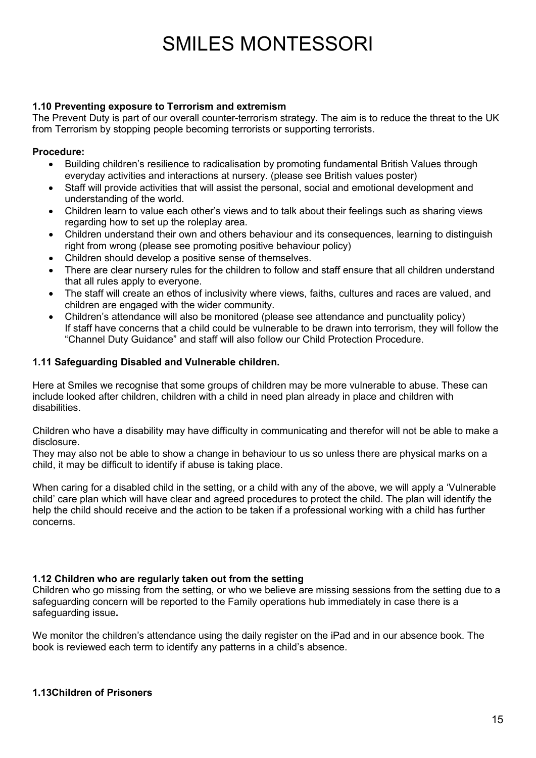### **1.10 Preventing exposure to Terrorism and extremism**

The Prevent Duty is part of our overall counter-terrorism strategy. The aim is to reduce the threat to the UK from Terrorism by stopping people becoming terrorists or supporting terrorists.

### **Procedure:**

- Building children's resilience to radicalisation by promoting fundamental British Values through everyday activities and interactions at nursery. (please see British values poster)
- Staff will provide activities that will assist the personal, social and emotional development and understanding of the world.
- Children learn to value each other's views and to talk about their feelings such as sharing views regarding how to set up the roleplay area.
- Children understand their own and others behaviour and its consequences, learning to distinguish right from wrong (please see promoting positive behaviour policy)
- Children should develop a positive sense of themselves.
- There are clear nursery rules for the children to follow and staff ensure that all children understand that all rules apply to everyone.
- The staff will create an ethos of inclusivity where views, faiths, cultures and races are valued, and children are engaged with the wider community.
- Children's attendance will also be monitored (please see attendance and punctuality policy) If staff have concerns that a child could be vulnerable to be drawn into terrorism, they will follow the "Channel Duty Guidance" and staff will also follow our Child Protection Procedure.

### **1.11 Safeguarding Disabled and Vulnerable children.**

Here at Smiles we recognise that some groups of children may be more vulnerable to abuse. These can include looked after children, children with a child in need plan already in place and children with disabilities.

Children who have a disability may have difficulty in communicating and therefor will not be able to make a disclosure.

They may also not be able to show a change in behaviour to us so unless there are physical marks on a child, it may be difficult to identify if abuse is taking place.

When caring for a disabled child in the setting, or a child with any of the above, we will apply a 'Vulnerable child' care plan which will have clear and agreed procedures to protect the child. The plan will identify the help the child should receive and the action to be taken if a professional working with a child has further concerns.

#### **1.12 Children who are regularly taken out from the setting**

Children who go missing from the setting, or who we believe are missing sessions from the setting due to a safeguarding concern will be reported to the Family operations hub immediately in case there is a safeguarding issue**.** 

We monitor the children's attendance using the daily register on the iPad and in our absence book. The book is reviewed each term to identify any patterns in a child's absence.

#### **1.13Children of Prisoners**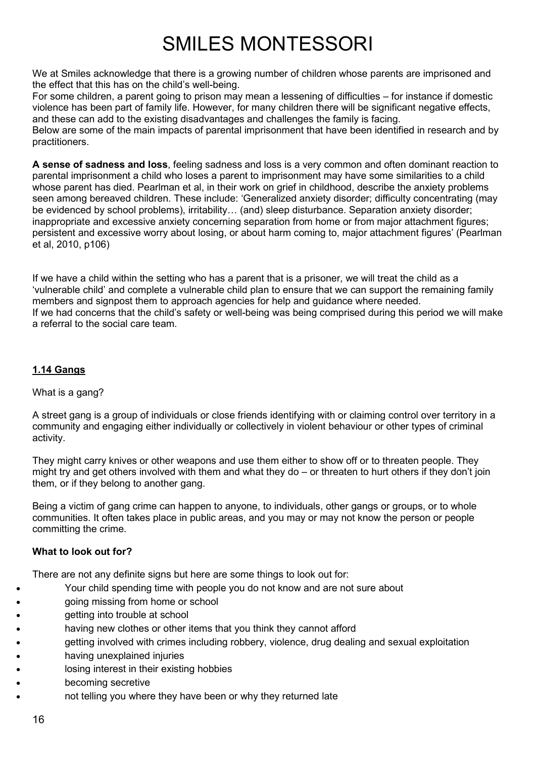We at Smiles acknowledge that there is a growing number of children whose parents are imprisoned and the effect that this has on the child's well-being.

For some children, a parent going to prison may mean a lessening of difficulties – for instance if domestic violence has been part of family life. However, for many children there will be significant negative effects, and these can add to the existing disadvantages and challenges the family is facing.

Below are some of the main impacts of parental imprisonment that have been identified in research and by practitioners.

**A sense of sadness and loss**, feeling sadness and loss is a very common and often dominant reaction to parental imprisonment a child who loses a parent to imprisonment may have some similarities to a child whose parent has died. Pearlman et al, in their work on grief in childhood, describe the anxiety problems seen among bereaved children. These include: 'Generalized anxiety disorder; difficulty concentrating (may be evidenced by school problems), irritability… (and) sleep disturbance. Separation anxiety disorder; inappropriate and excessive anxiety concerning separation from home or from major attachment figures; persistent and excessive worry about losing, or about harm coming to, major attachment figures' (Pearlman et al, 2010, p106)

If we have a child within the setting who has a parent that is a prisoner, we will treat the child as a 'vulnerable child' and complete a vulnerable child plan to ensure that we can support the remaining family members and signpost them to approach agencies for help and guidance where needed. If we had concerns that the child's safety or well-being was being comprised during this period we will make a referral to the social care team.

### **1.14 Gangs**

What is a gang?

A street gang is a group of individuals or close friends identifying with or claiming control over territory in a community and engaging either individually or collectively in violent behaviour or other types of criminal activity.

They might carry knives or other weapons and use them either to show off or to threaten people. They might try and get others involved with them and what they do – or threaten to hurt others if they don't join them, or if they belong to another gang.

Being a victim of gang crime can happen to anyone, to individuals, other gangs or groups, or to whole communities. It often takes place in public areas, and you may or may not know the person or people committing the crime.

### **What to look out for?**

There are not any definite signs but here are some things to look out for:

- Your child spending time with people you do not know and are not sure about
- going missing from home or school
- getting into trouble at school
- having new clothes or other items that you think they cannot afford
- getting involved with crimes including robbery, violence, drug dealing and sexual exploitation
- having unexplained injuries
- losing interest in their existing hobbies
- becoming secretive
- not telling you where they have been or why they returned late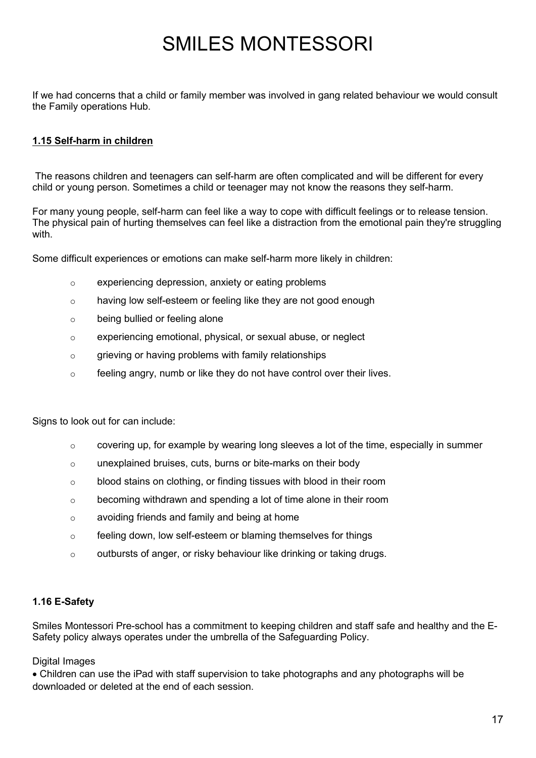If we had concerns that a child or family member was involved in gang related behaviour we would consult the Family operations Hub.

### **1.15 Self-harm in children**

The reasons children and teenagers can self-harm are often complicated and will be different for every child or young person. Sometimes a child or teenager may not know the reasons they self-harm.

For many young people, self-harm can feel like a way to cope with difficult feelings or to release tension. The physical pain of hurting themselves can feel like a distraction from the emotional pain they're struggling with.

Some difficult experiences or emotions can make self-harm more likely in children:

- o experiencing depression, anxiety or eating problems
- o having low self-esteem or feeling like they are not good enough
- o being bullied or feeling alone
- o experiencing emotional, physical, or sexual abuse, or neglect
- $\circ$  grieving or having problems with family relationships
- $\circ$  feeling angry, numb or like they do not have control over their lives.

Signs to look out for can include:

- $\circ$  covering up, for example by wearing long sleeves a lot of the time, especially in summer
- o unexplained bruises, cuts, burns or bite-marks on their body
- o blood stains on clothing, or finding tissues with blood in their room
- $\circ$  becoming withdrawn and spending a lot of time alone in their room
- o avoiding friends and family and being at home
- o feeling down, low self-esteem or blaming themselves for things
- $\circ$  outbursts of anger, or risky behaviour like drinking or taking drugs.

#### **1.16 E-Safety**

Smiles Montessori Pre-school has a commitment to keeping children and staff safe and healthy and the E-Safety policy always operates under the umbrella of the Safeguarding Policy.

#### Digital Images

• Children can use the iPad with staff supervision to take photographs and any photographs will be downloaded or deleted at the end of each session.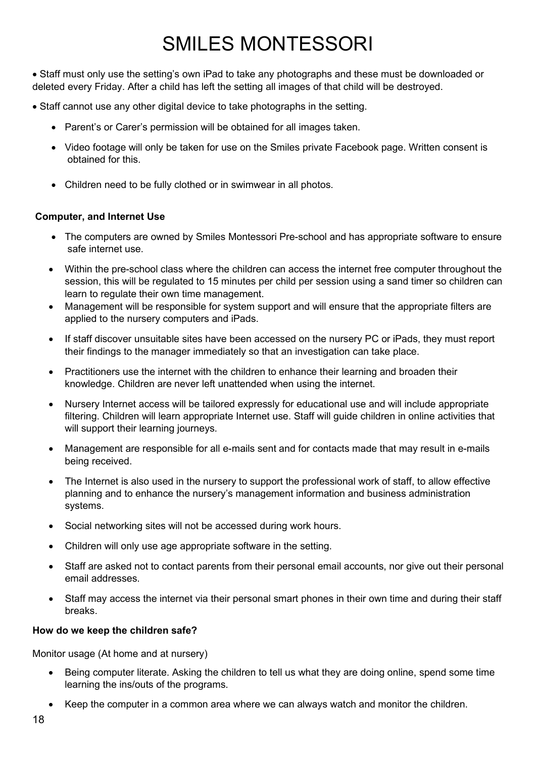• Staff must only use the setting's own iPad to take any photographs and these must be downloaded or deleted every Friday. After a child has left the setting all images of that child will be destroyed.

• Staff cannot use any other digital device to take photographs in the setting.

- Parent's or Carer's permission will be obtained for all images taken.
- Video footage will only be taken for use on the Smiles private Facebook page. Written consent is obtained for this.
- Children need to be fully clothed or in swimwear in all photos.

### **Computer, and Internet Use**

- The computers are owned by Smiles Montessori Pre-school and has appropriate software to ensure safe internet use.
- Within the pre-school class where the children can access the internet free computer throughout the session, this will be regulated to 15 minutes per child per session using a sand timer so children can learn to regulate their own time management.
- Management will be responsible for system support and will ensure that the appropriate filters are applied to the nursery computers and iPads.
- If staff discover unsuitable sites have been accessed on the nursery PC or iPads, they must report their findings to the manager immediately so that an investigation can take place.
- Practitioners use the internet with the children to enhance their learning and broaden their knowledge. Children are never left unattended when using the internet.
- Nursery Internet access will be tailored expressly for educational use and will include appropriate filtering. Children will learn appropriate Internet use. Staff will guide children in online activities that will support their learning journeys.
- Management are responsible for all e-mails sent and for contacts made that may result in e-mails being received.
- The Internet is also used in the nursery to support the professional work of staff, to allow effective planning and to enhance the nursery's management information and business administration systems.
- Social networking sites will not be accessed during work hours.
- Children will only use age appropriate software in the setting.
- Staff are asked not to contact parents from their personal email accounts, nor give out their personal email addresses.
- Staff may access the internet via their personal smart phones in their own time and during their staff breaks.

#### **How do we keep the children safe?**

Monitor usage (At home and at nursery)

- Being computer literate. Asking the children to tell us what they are doing online, spend some time learning the ins/outs of the programs.
- Keep the computer in a common area where we can always watch and monitor the children.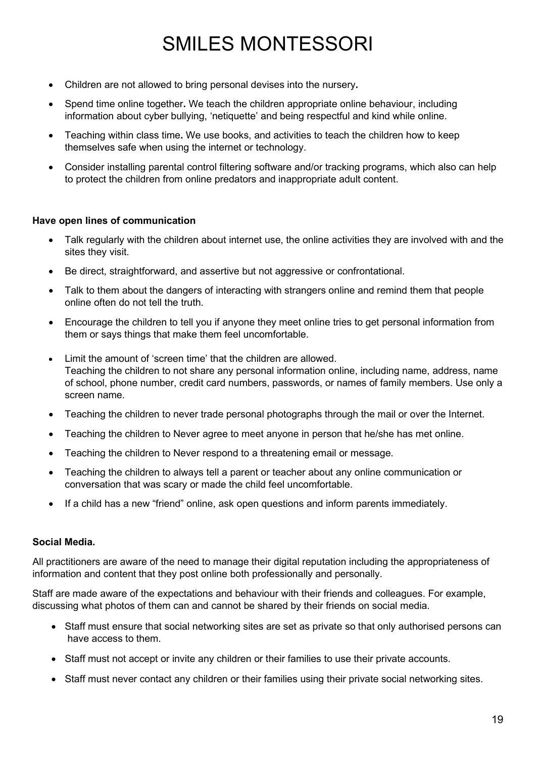- Children are not allowed to bring personal devises into the nursery**.**
- Spend time online together**.** We teach the children appropriate online behaviour, including information about cyber bullying, 'netiquette' and being respectful and kind while online.
- Teaching within class time**.** We use books, and activities to teach the children how to keep themselves safe when using the internet or technology.
- Consider installing parental control filtering software and/or tracking programs, which also can help to protect the children from online predators and inappropriate adult content.

### **Have open lines of communication**

- Talk regularly with the children about internet use, the online activities they are involved with and the sites they visit.
- Be direct, straightforward, and assertive but not aggressive or confrontational.
- Talk to them about the dangers of interacting with strangers online and remind them that people online often do not tell the truth.
- Encourage the children to tell you if anyone they meet online tries to get personal information from them or says things that make them feel uncomfortable.
- Limit the amount of 'screen time' that the children are allowed. Teaching the children to not share any personal information online, including name, address, name of school, phone number, credit card numbers, passwords, or names of family members. Use only a screen name.
- Teaching the children to never trade personal photographs through the mail or over the Internet.
- Teaching the children to Never agree to meet anyone in person that he/she has met online.
- Teaching the children to Never respond to a threatening email or message.
- Teaching the children to always tell a parent or teacher about any online communication or conversation that was scary or made the child feel uncomfortable.
- If a child has a new "friend" online, ask open questions and inform parents immediately.

#### **Social Media.**

All practitioners are aware of the need to manage their digital reputation including the appropriateness of information and content that they post online both professionally and personally.

Staff are made aware of the expectations and behaviour with their friends and colleagues. For example, discussing what photos of them can and cannot be shared by their friends on social media.

- Staff must ensure that social networking sites are set as private so that only authorised persons can have access to them.
- Staff must not accept or invite any children or their families to use their private accounts.
- Staff must never contact any children or their families using their private social networking sites.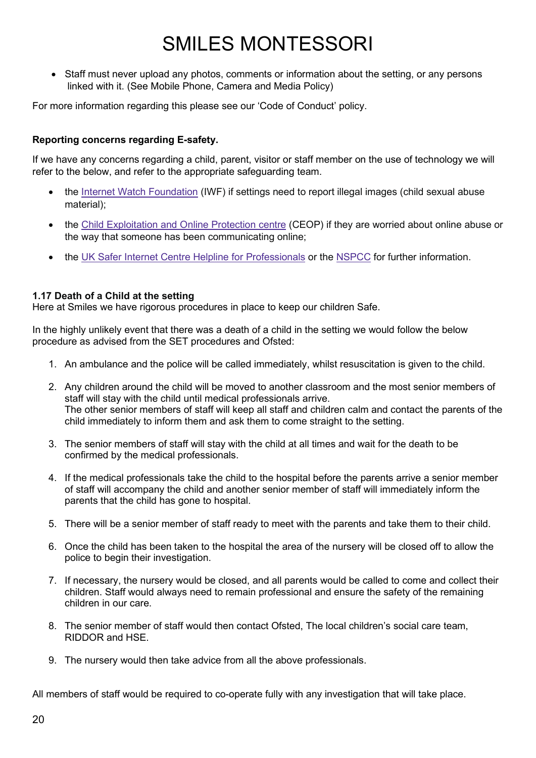• Staff must never upload any photos, comments or information about the setting, or any persons linked with it. (See Mobile Phone, Camera and Media Policy)

For more information regarding this please see our 'Code of Conduct' policy.

### **Reporting concerns regarding E-safety.**

If we have any concerns regarding a child, parent, visitor or staff member on the use of technology we will refer to the below, and refer to the appropriate safeguarding team.

- the Internet Watch [Foundation](https://www.iwf.org.uk/) (IWF) if settings need to report illegal images (child sexual abuse material);
- the Child [Exploitation](https://www.ceop.police.uk/ceop-reporting/) and Online Protection centre (CEOP) if they are worried about online abuse or the way that someone has been communicating online;
- the UK Safer Internet Centre Helpline for [Professionals](https://www.saferinternet.org.uk/professionals-online-safety-helpline) or the [NSPCC](https://www.nspcc.org.uk/what-we-do/about-us/partners/nspcc-o2-online-safety-partnership/) for further information.

#### **1.17 Death of a Child at the setting**

Here at Smiles we have rigorous procedures in place to keep our children Safe.

In the highly unlikely event that there was a death of a child in the setting we would follow the below procedure as advised from the SET procedures and Ofsted:

- 1. An ambulance and the police will be called immediately, whilst resuscitation is given to the child.
- 2. Any children around the child will be moved to another classroom and the most senior members of staff will stay with the child until medical professionals arrive. The other senior members of staff will keep all staff and children calm and contact the parents of the child immediately to inform them and ask them to come straight to the setting.
- 3. The senior members of staff will stay with the child at all times and wait for the death to be confirmed by the medical professionals.
- 4. If the medical professionals take the child to the hospital before the parents arrive a senior member of staff will accompany the child and another senior member of staff will immediately inform the parents that the child has gone to hospital.
- 5. There will be a senior member of staff ready to meet with the parents and take them to their child.
- 6. Once the child has been taken to the hospital the area of the nursery will be closed off to allow the police to begin their investigation.
- 7. If necessary, the nursery would be closed, and all parents would be called to come and collect their children. Staff would always need to remain professional and ensure the safety of the remaining children in our care.
- 8. The senior member of staff would then contact Ofsted, The local children's social care team, RIDDOR and HSE.
- 9. The nursery would then take advice from all the above professionals.

All members of staff would be required to co-operate fully with any investigation that will take place.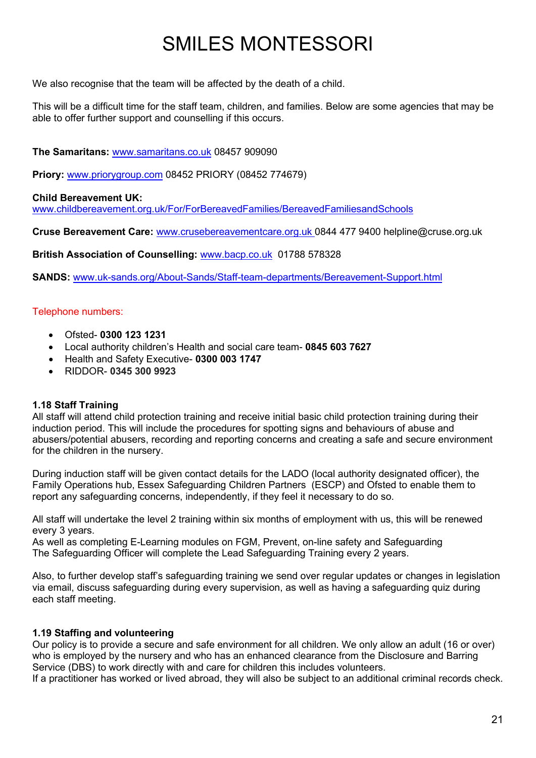We also recognise that the team will be affected by the death of a child.

This will be a difficult time for the staff team, children, and families. Below are some agencies that may be able to offer further support and counselling if this occurs.

**The Samaritans:** [www.samaritans.co.uk](http://www.samaritans.co.uk/) 08457 909090

**Priory:** [www.priorygroup.com](https://www.priorygroup.com/) 08452 PRIORY (08452 774679)

**Child Bereavement UK:** 

[www.childbereavement.org.uk/For/ForBereavedFamilies/BereavedFamiliesandSchools](http://www.childbereavement.org.uk/For/ForBereavedFamilies/BereavedFamiliesandSchools)

**Cruse Bereavement Care:** [www.crusebereavementcare.org.uk 0](http://www.crusebereavementcare.org.uk/)844 477 9400 helpline@cruse.org.uk

**British Association of Counselling:** [www.bacp.co.uk](http://www.bacp.co.uk/) 01788 578328

**SANDS:** [www.uk-sands.org/About-Sands/Staff-team-departments/Bereavement-Support.html](http://www.uk-sands.org/About-Sands/Staff-team-departments/Bereavement-Support.html)

#### Telephone numbers:

- Ofsted- **0300 123 1231**
- Local authority children's Health and social care team- **0845 603 7627**
- Health and Safety Executive- **0300 003 1747**
- RIDDOR- **0345 300 9923**

#### **1.18 Staff Training**

All staff will attend child protection training and receive initial basic child protection training during their induction period. This will include the procedures for spotting signs and behaviours of abuse and abusers/potential abusers, recording and reporting concerns and creating a safe and secure environment for the children in the nursery.

During induction staff will be given contact details for the LADO (local authority designated officer), the Family Operations hub, Essex Safeguarding Children Partners (ESCP) and Ofsted to enable them to report any safeguarding concerns, independently, if they feel it necessary to do so.

All staff will undertake the level 2 training within six months of employment with us, this will be renewed every 3 years.

As well as completing E-Learning modules on FGM, Prevent, on-line safety and Safeguarding The Safeguarding Officer will complete the Lead Safeguarding Training every 2 years.

Also, to further develop staff's safeguarding training we send over regular updates or changes in legislation via email, discuss safeguarding during every supervision, as well as having a safeguarding quiz during each staff meeting.

#### **1.19 Staffing and volunteering**

Our policy is to provide a secure and safe environment for all children. We only allow an adult (16 or over) who is employed by the nursery and who has an enhanced clearance from the Disclosure and Barring Service (DBS) to work directly with and care for children this includes volunteers.

If a practitioner has worked or lived abroad, they will also be subject to an additional criminal records check.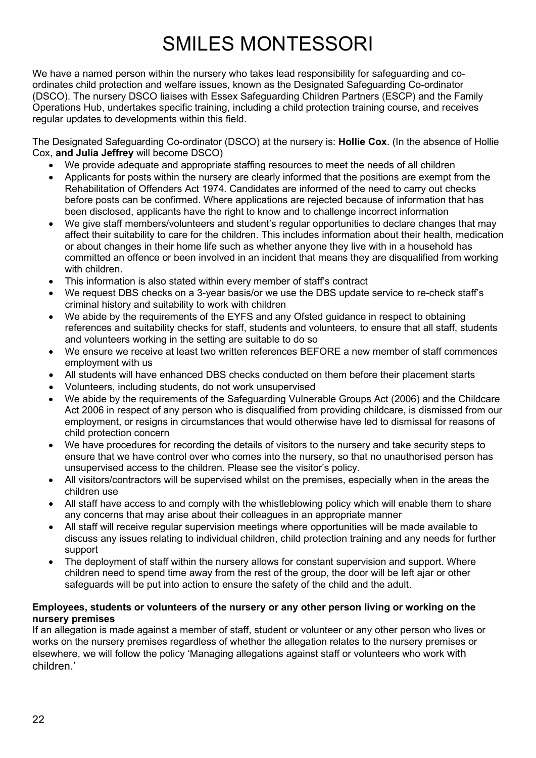We have a named person within the nursery who takes lead responsibility for safeguarding and coordinates child protection and welfare issues, known as the Designated Safeguarding Co-ordinator (DSCO). The nursery DSCO liaises with Essex Safeguarding Children Partners (ESCP) and the Family Operations Hub, undertakes specific training, including a child protection training course, and receives regular updates to developments within this field.

The Designated Safeguarding Co-ordinator (DSCO) at the nursery is: **Hollie Cox**. (In the absence of Hollie Cox, **and Julia Jeffrey** will become DSCO)

- We provide adequate and appropriate staffing resources to meet the needs of all children
- Applicants for posts within the nursery are clearly informed that the positions are exempt from the Rehabilitation of Offenders Act 1974. Candidates are informed of the need to carry out checks before posts can be confirmed. Where applications are rejected because of information that has been disclosed, applicants have the right to know and to challenge incorrect information
- We give staff members/volunteers and student's regular opportunities to declare changes that may affect their suitability to care for the children. This includes information about their health, medication or about changes in their home life such as whether anyone they live with in a household has committed an offence or been involved in an incident that means they are disqualified from working with children.
- This information is also stated within every member of staff's contract
- We request DBS checks on a 3-year basis/or we use the DBS update service to re-check staff's criminal history and suitability to work with children
- We abide by the requirements of the EYFS and any Ofsted guidance in respect to obtaining references and suitability checks for staff, students and volunteers, to ensure that all staff, students and volunteers working in the setting are suitable to do so
- We ensure we receive at least two written references BEFORE a new member of staff commences employment with us
- All students will have enhanced DBS checks conducted on them before their placement starts
- Volunteers, including students, do not work unsupervised
- We abide by the requirements of the Safeguarding Vulnerable Groups Act (2006) and the Childcare Act 2006 in respect of any person who is disqualified from providing childcare, is dismissed from our employment, or resigns in circumstances that would otherwise have led to dismissal for reasons of child protection concern
- We have procedures for recording the details of visitors to the nursery and take security steps to ensure that we have control over who comes into the nursery, so that no unauthorised person has unsupervised access to the children. Please see the visitor's policy.
- All visitors/contractors will be supervised whilst on the premises, especially when in the areas the children use
- All staff have access to and comply with the whistleblowing policy which will enable them to share any concerns that may arise about their colleagues in an appropriate manner
- All staff will receive regular supervision meetings where opportunities will be made available to discuss any issues relating to individual children, child protection training and any needs for further support
- The deployment of staff within the nursery allows for constant supervision and support. Where children need to spend time away from the rest of the group, the door will be left ajar or other safeguards will be put into action to ensure the safety of the child and the adult.

### **Employees, students or volunteers of the nursery or any other person living or working on the nursery premises**

If an allegation is made against a member of staff, student or volunteer or any other person who lives or works on the nursery premises regardless of whether the allegation relates to the nursery premises or elsewhere, we will follow the policy 'Managing allegations against staff or volunteers who work with children.'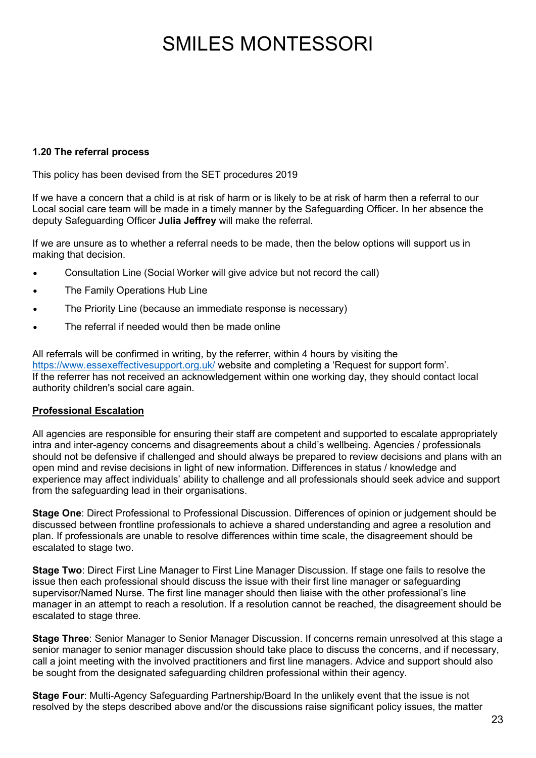#### **1.20 The referral process**

This policy has been devised from the SET procedures 2019

If we have a concern that a child is at risk of harm or is likely to be at risk of harm then a referral to our Local social care team will be made in a timely manner by the Safeguarding Officer**.** In her absence the deputy Safeguarding Officer **Julia Jeffrey** will make the referral.

If we are unsure as to whether a referral needs to be made, then the below options will support us in making that decision.

- Consultation Line (Social Worker will give advice but not record the call)
- The Family Operations Hub Line
- The Priority Line (because an immediate response is necessary)
- The referral if needed would then be made online

All referrals will be confirmed in writing, by the referrer, within 4 hours by visiting the <https://www.essexeffectivesupport.org.uk/> website and completing a 'Request for support form'. If the referrer has not received an acknowledgement within one working day, they should contact local authority children's social care again.

### **Professional Escalation**

All agencies are responsible for ensuring their staff are competent and supported to escalate appropriately intra and inter-agency concerns and disagreements about a child's wellbeing. Agencies / professionals should not be defensive if challenged and should always be prepared to review decisions and plans with an open mind and revise decisions in light of new information. Differences in status / knowledge and experience may affect individuals' ability to challenge and all professionals should seek advice and support from the safeguarding lead in their organisations.

**Stage One**: Direct Professional to Professional Discussion. Differences of opinion or judgement should be discussed between frontline professionals to achieve a shared understanding and agree a resolution and plan. If professionals are unable to resolve differences within time scale, the disagreement should be escalated to stage two.

**Stage Two**: Direct First Line Manager to First Line Manager Discussion. If stage one fails to resolve the issue then each professional should discuss the issue with their first line manager or safeguarding supervisor/Named Nurse. The first line manager should then liaise with the other professional's line manager in an attempt to reach a resolution. If a resolution cannot be reached, the disagreement should be escalated to stage three.

**Stage Three**: Senior Manager to Senior Manager Discussion. If concerns remain unresolved at this stage a senior manager to senior manager discussion should take place to discuss the concerns, and if necessary, call a joint meeting with the involved practitioners and first line managers. Advice and support should also be sought from the designated safeguarding children professional within their agency.

**Stage Four**: Multi-Agency Safeguarding Partnership/Board In the unlikely event that the issue is not resolved by the steps described above and/or the discussions raise significant policy issues, the matter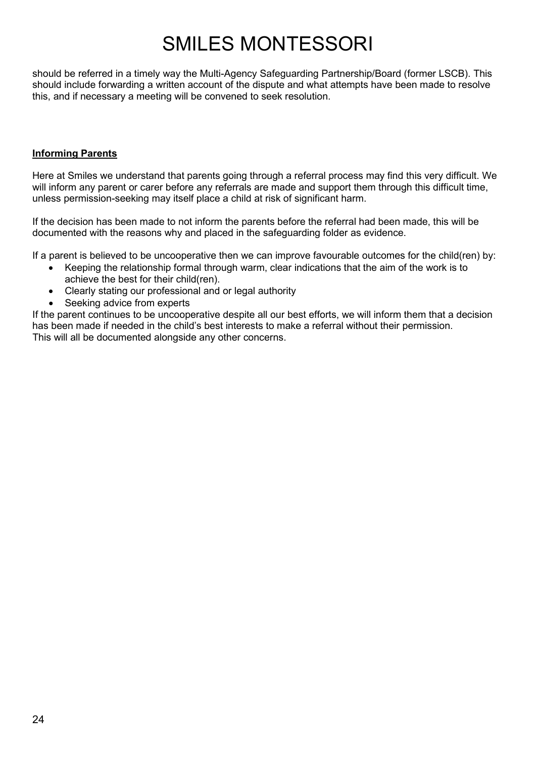should be referred in a timely way the Multi-Agency Safeguarding Partnership/Board (former LSCB). This should include forwarding a written account of the dispute and what attempts have been made to resolve this, and if necessary a meeting will be convened to seek resolution.

### **Informing Parents**

Here at Smiles we understand that parents going through a referral process may find this very difficult. We will inform any parent or carer before any referrals are made and support them through this difficult time, unless permission-seeking may itself place a child at risk of significant harm.

If the decision has been made to not inform the parents before the referral had been made, this will be documented with the reasons why and placed in the safeguarding folder as evidence.

If a parent is believed to be uncooperative then we can improve favourable outcomes for the child(ren) by:

- Keeping the relationship formal through warm, clear indications that the aim of the work is to achieve the best for their child(ren).
- Clearly stating our professional and or legal authority
- Seeking advice from experts

If the parent continues to be uncooperative despite all our best efforts, we will inform them that a decision has been made if needed in the child's best interests to make a referral without their permission. This will all be documented alongside any other concerns.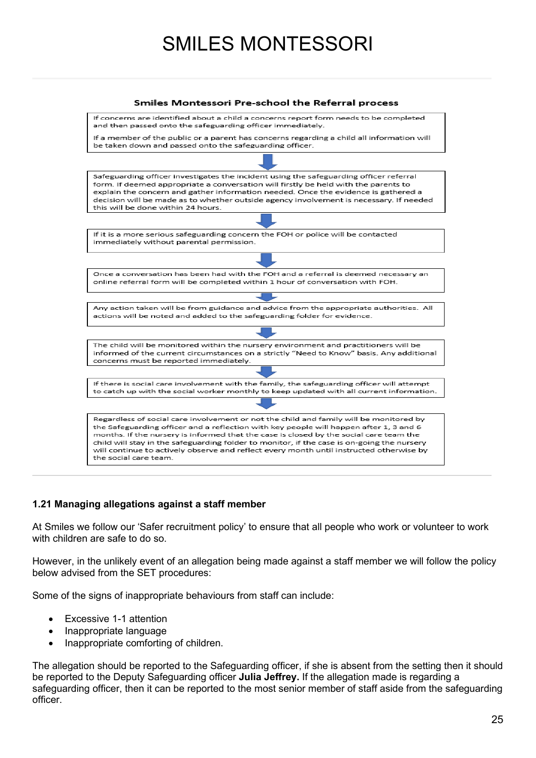

### **1.21 Managing allegations against a staff member**

At Smiles we follow our 'Safer recruitment policy' to ensure that all people who work or volunteer to work with children are safe to do so.

However, in the unlikely event of an allegation being made against a staff member we will follow the policy below advised from the SET procedures:

Some of the signs of inappropriate behaviours from staff can include:

- Excessive 1-1 attention
- Inappropriate language
- Inappropriate comforting of children.

The allegation should be reported to the Safeguarding officer, if she is absent from the setting then it should be reported to the Deputy Safeguarding officer **Julia Jeffrey.** If the allegation made is regarding a safeguarding officer, then it can be reported to the most senior member of staff aside from the safeguarding officer.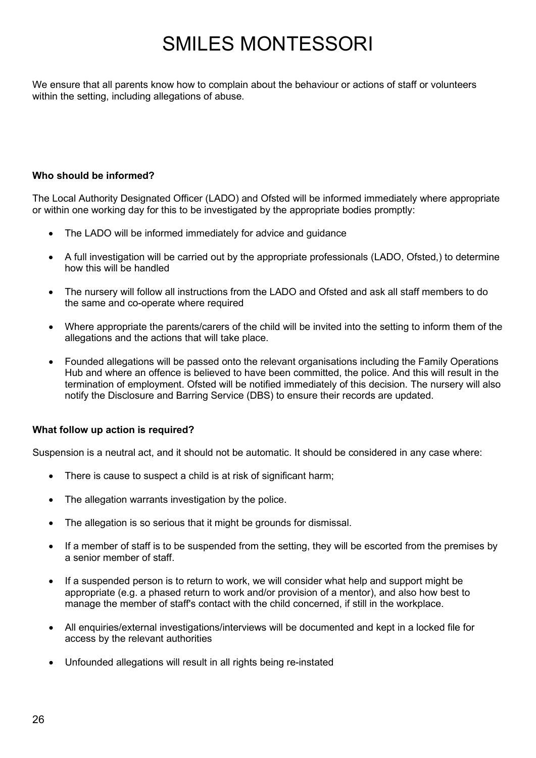We ensure that all parents know how to complain about the behaviour or actions of staff or volunteers within the setting, including allegations of abuse.

### **Who should be informed?**

The Local Authority Designated Officer (LADO) and Ofsted will be informed immediately where appropriate or within one working day for this to be investigated by the appropriate bodies promptly:

- The LADO will be informed immediately for advice and guidance
- A full investigation will be carried out by the appropriate professionals (LADO, Ofsted,) to determine how this will be handled
- The nursery will follow all instructions from the LADO and Ofsted and ask all staff members to do the same and co-operate where required
- Where appropriate the parents/carers of the child will be invited into the setting to inform them of the allegations and the actions that will take place.
- Founded allegations will be passed onto the relevant organisations including the Family Operations Hub and where an offence is believed to have been committed, the police. And this will result in the termination of employment. Ofsted will be notified immediately of this decision. The nursery will also notify the Disclosure and Barring Service (DBS) to ensure their records are updated.

#### **What follow up action is required?**

Suspension is a neutral act, and it should not be automatic. It should be considered in any case where:

- There is cause to suspect a child is at risk of significant harm:
- The allegation warrants investigation by the police.
- The allegation is so serious that it might be grounds for dismissal.
- If a member of staff is to be suspended from the setting, they will be escorted from the premises by a senior member of staff.
- If a suspended person is to return to work, we will consider what help and support might be appropriate (e.g. a phased return to work and/or provision of a mentor), and also how best to manage the member of staff's contact with the child concerned, if still in the workplace.
- All enquiries/external investigations/interviews will be documented and kept in a locked file for access by the relevant authorities
- Unfounded allegations will result in all rights being re-instated